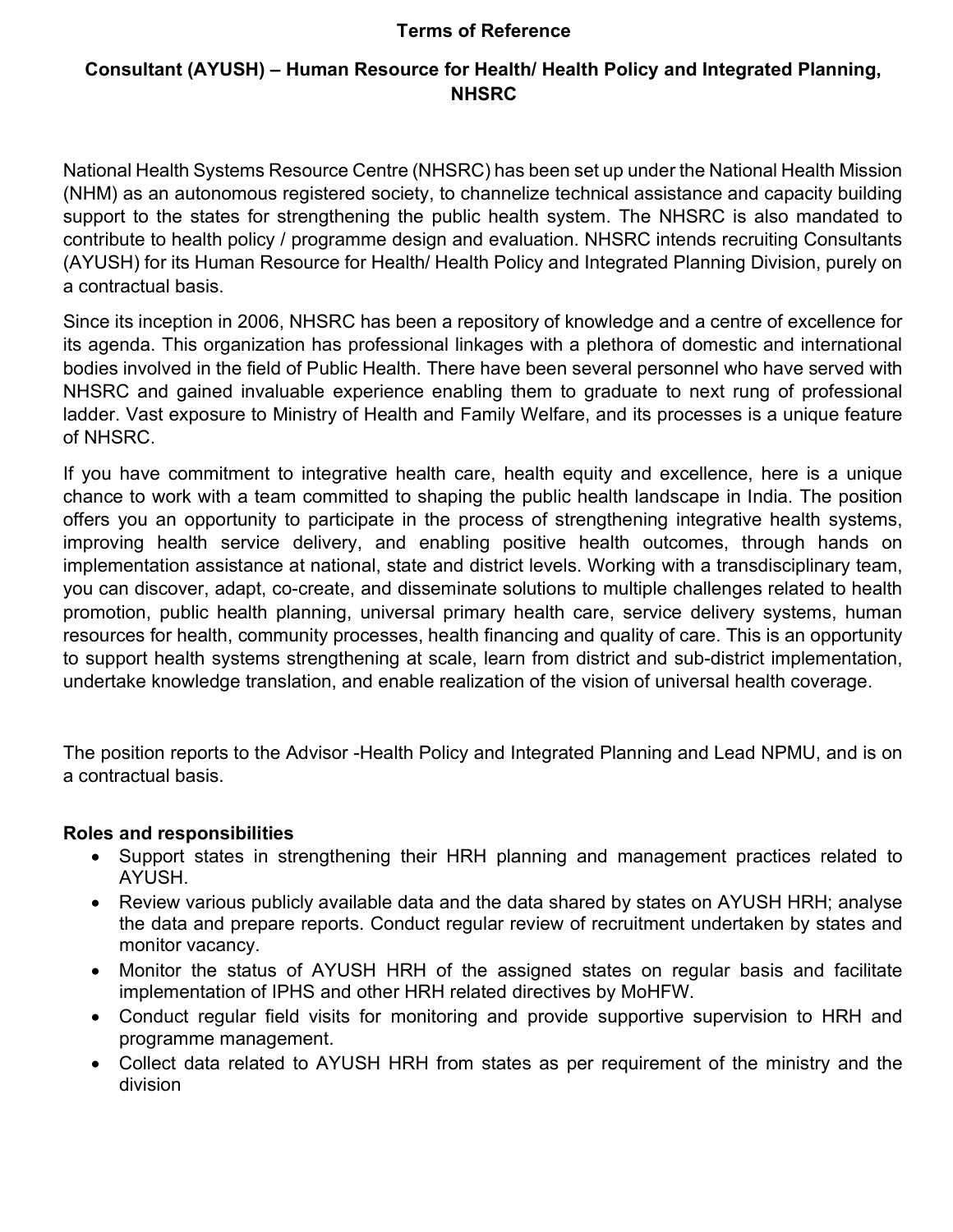### Terms of Reference

# Consultant (AYUSH) – Human Resource for Health/ Health Policy and Integrated Planning, **NHSRC**

National Health Systems Resource Centre (NHSRC) has been set up under the National Health Mission (NHM) as an autonomous registered society, to channelize technical assistance and capacity building support to the states for strengthening the public health system. The NHSRC is also mandated to contribute to health policy / programme design and evaluation. NHSRC intends recruiting Consultants (AYUSH) for its Human Resource for Health/ Health Policy and Integrated Planning Division, purely on a contractual basis.

Since its inception in 2006, NHSRC has been a repository of knowledge and a centre of excellence for its agenda. This organization has professional linkages with a plethora of domestic and international bodies involved in the field of Public Health. There have been several personnel who have served with NHSRC and gained invaluable experience enabling them to graduate to next rung of professional ladder. Vast exposure to Ministry of Health and Family Welfare, and its processes is a unique feature of NHSRC.

If you have commitment to integrative health care, health equity and excellence, here is a unique chance to work with a team committed to shaping the public health landscape in India. The position offers you an opportunity to participate in the process of strengthening integrative health systems, improving health service delivery, and enabling positive health outcomes, through hands on implementation assistance at national, state and district levels. Working with a transdisciplinary team, you can discover, adapt, co-create, and disseminate solutions to multiple challenges related to health promotion, public health planning, universal primary health care, service delivery systems, human resources for health, community processes, health financing and quality of care. This is an opportunity to support health systems strengthening at scale, learn from district and sub-district implementation, undertake knowledge translation, and enable realization of the vision of universal health coverage.

The position reports to the Advisor -Health Policy and Integrated Planning and Lead NPMU, and is on a contractual basis.

### Roles and responsibilities

- Support states in strengthening their HRH planning and management practices related to AYUSH.
- Review various publicly available data and the data shared by states on AYUSH HRH; analyse the data and prepare reports. Conduct regular review of recruitment undertaken by states and monitor vacancy.
- Monitor the status of AYUSH HRH of the assigned states on regular basis and facilitate implementation of IPHS and other HRH related directives by MoHFW.
- Conduct regular field visits for monitoring and provide supportive supervision to HRH and programme management.
- Collect data related to AYUSH HRH from states as per requirement of the ministry and the division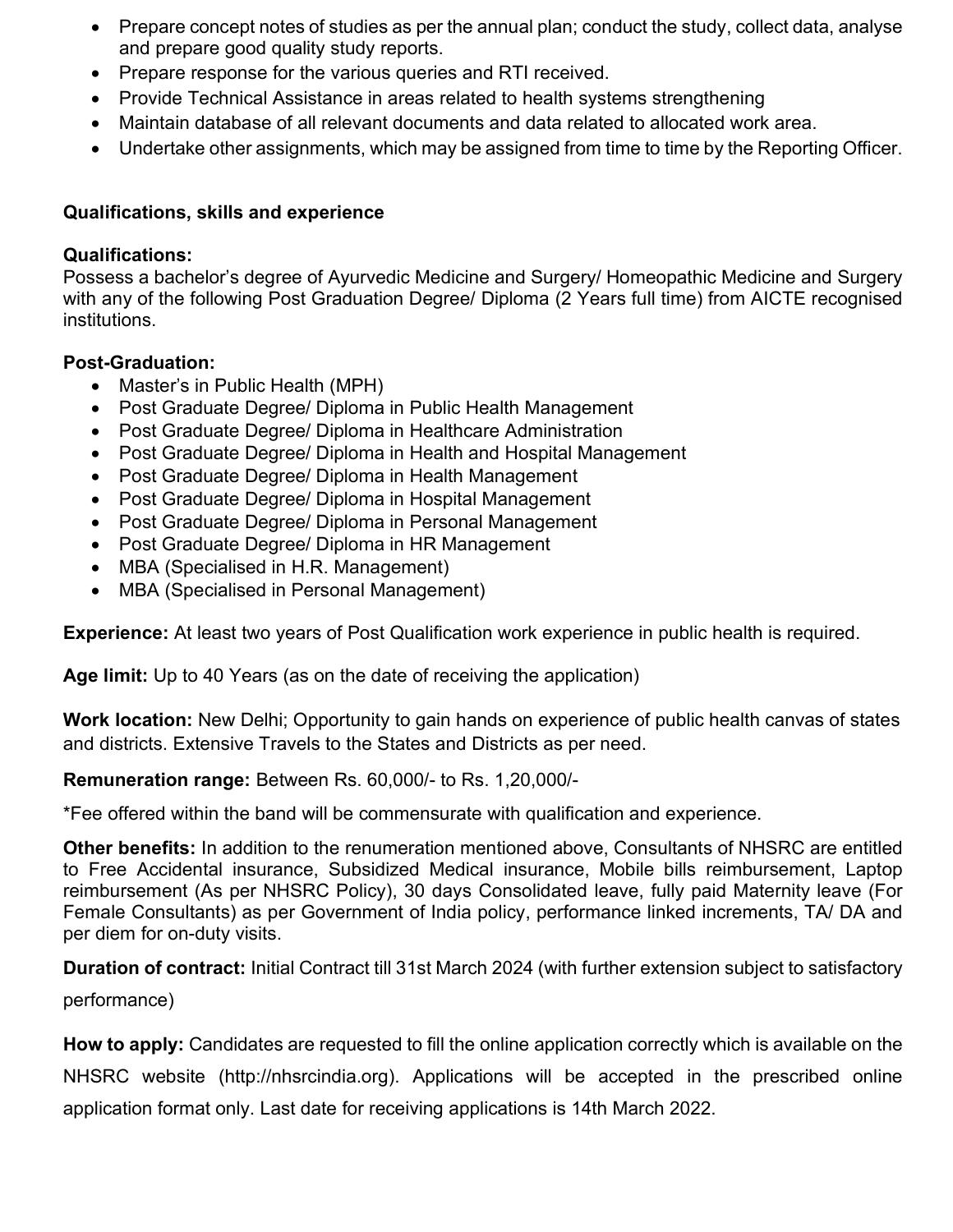- Prepare concept notes of studies as per the annual plan; conduct the study, collect data, analyse and prepare good quality study reports.
- Prepare response for the various queries and RTI received.
- Provide Technical Assistance in areas related to health systems strengthening
- Maintain database of all relevant documents and data related to allocated work area.
- Undertake other assignments, which may be assigned from time to time by the Reporting Officer.

## Qualifications, skills and experience

### Qualifications:

Possess a bachelor's degree of Ayurvedic Medicine and Surgery/ Homeopathic Medicine and Surgery with any of the following Post Graduation Degree/ Diploma (2 Years full time) from AICTE recognised institutions.

## Post-Graduation:

- Master's in Public Health (MPH)
- Post Graduate Degree/ Diploma in Public Health Management
- Post Graduate Degree/ Diploma in Healthcare Administration
- Post Graduate Degree/ Diploma in Health and Hospital Management
- Post Graduate Degree/ Diploma in Health Management
- Post Graduate Degree/ Diploma in Hospital Management
- Post Graduate Degree/ Diploma in Personal Management
- Post Graduate Degree/ Diploma in HR Management
- MBA (Specialised in H.R. Management)
- MBA (Specialised in Personal Management)

Experience: At least two years of Post Qualification work experience in public health is required.

Age limit: Up to 40 Years (as on the date of receiving the application)

Work location: New Delhi; Opportunity to gain hands on experience of public health canvas of states and districts. Extensive Travels to the States and Districts as per need.

## Remuneration range: Between Rs. 60,000/- to Rs. 1,20,000/-

\*Fee offered within the band will be commensurate with qualification and experience.

Other benefits: In addition to the renumeration mentioned above, Consultants of NHSRC are entitled to Free Accidental insurance, Subsidized Medical insurance, Mobile bills reimbursement, Laptop reimbursement (As per NHSRC Policy), 30 days Consolidated leave, fully paid Maternity leave (For Female Consultants) as per Government of India policy, performance linked increments, TA/ DA and per diem for on-duty visits.

Duration of contract: Initial Contract till 31st March 2024 (with further extension subject to satisfactory performance)

How to apply: Candidates are requested to fill the online application correctly which is available on the NHSRC website (http://nhsrcindia.org). Applications will be accepted in the prescribed online application format only. Last date for receiving applications is 14th March 2022.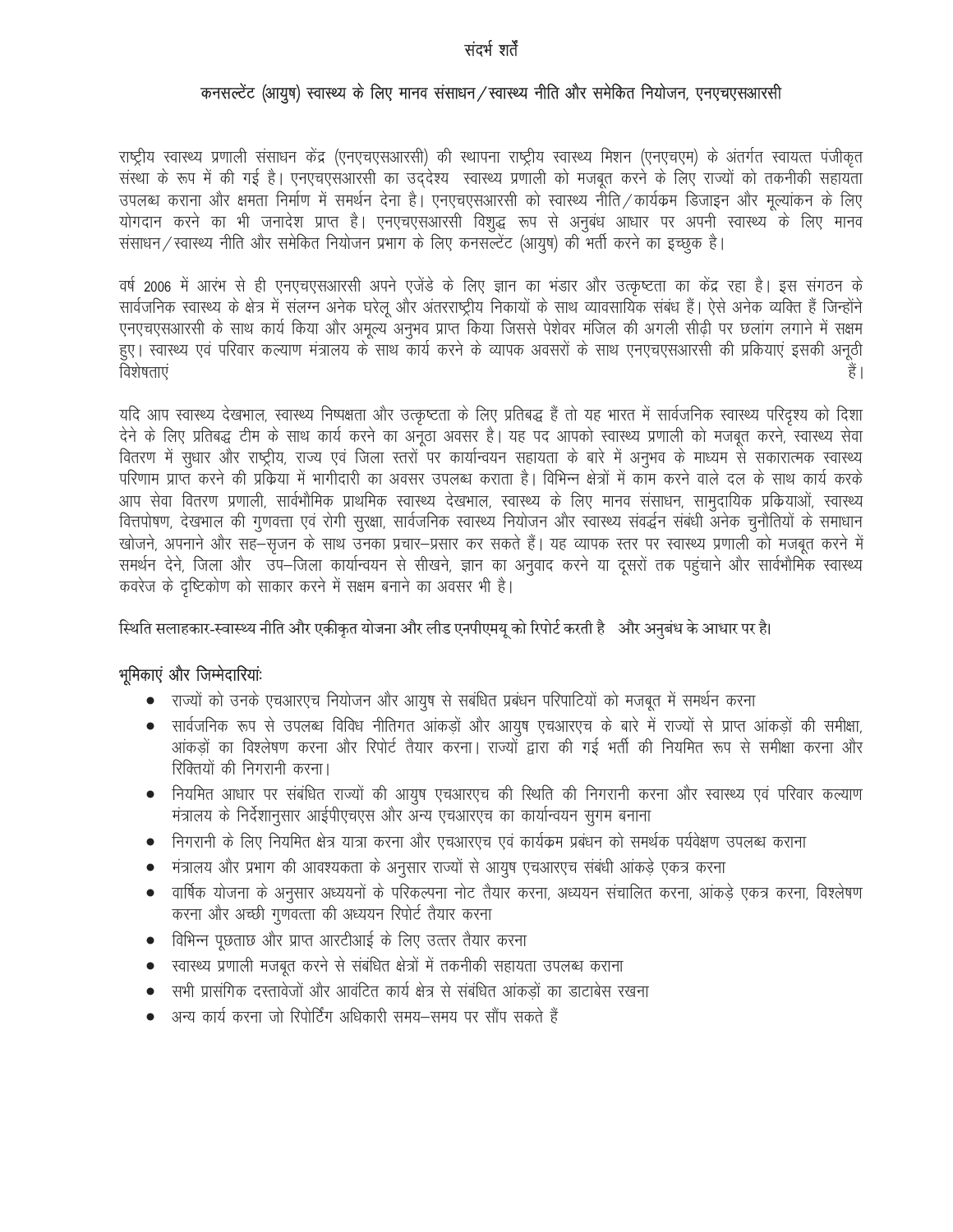#### संदर्भ शर्तें

#### कनसल्टेंट (आयूष) स्वास्थ्य के लिए मानव संसाधन/स्वास्थ्य नीति और समेकित नियोजन, एनएचएसआरसी

राष्ट्रीय स्वास्थ्य प्रणाली संसाधन केंद्र (एनएचएसआरसी) की स्थापना राष्ट्रीय स्वास्थ्य मिशन (एनएचएम) के अंतर्गत स्वायत्त पंजीकृत संस्था के रूप में की गई है। एनएचएसआरसी का उद्देश्य स्वास्थ्य प्रणाली को मजबूत करने के लिए राज्यों को तकनीकी सहायता उपलब्ध कराना और क्षमता निर्माण में समर्थन देना है। एनएचएसआरसी को स्वास्थ्य नीति/कार्यक्रम डिजाइन और मुल्यांकन के लिए योगदान करने का भी जनादेश प्राप्त है। एनएचएसआरसी विशुद्ध रूप से अनुबंध आधार पर अपनी स्वास्थ्य के लिए मानव संसाधन / स्वास्थ्य नीति और समेकित नियोजन प्रभाग के लिए कनसल्टेंट (आयुष) की भर्ती करने का इच्छुक है।

वर्ष 2006 में आरंभ से ही एनएचएसआरसी अपने एजेंडे के लिए ज्ञान का भंडार और उत्कृष्टता का केंद्र रहा है। इस संगठन के सार्वजनिक स्वास्थ्य के क्षेत्र में संलग्न अनेक घरेलू और अंतरराष्ट्रीय निकायों के साथ व्यावसायिक संबंध हैं। ऐसे अनेक व्यक्ति हैं जिन्होंने एनएचएसआरसी के साथ कार्य किया और अमूल्य अनुभव प्राप्त किया जिससे पेशेवर मंजिल की अगली सीढ़ी पर छलांग लगाने में सक्षम हुए। स्वास्थ्य एवं परिवार कल्याण मंत्रालय के साथ कार्य करने के व्यापक अवसरों के साथ एनएचएसआरसी की प्रकियाएं इसकी अनूठी विशेषताएं हैं ।

यदि आप स्वास्थ्य देखभाल, स्वास्थ्य निष्पक्षता और उत्कृष्टता के लिए प्रतिबद्ध हैं तो यह भारत में सार्वजनिक स्वास्थ्य परिदृश्य को दिशा देने के लिए प्रतिबद्ध टीम के साथ कार्य करने का अनूठा अवसर है। यह पद आपको स्वास्थ्य प्रणाली को मजबूत करने, स्वास्थ्य सेवा वितरण में सुधार और राष्ट्रीय, राज्य एवं जिला स्तरों पर कार्यान्वयन सहायता के बारे में अनुभव के माध्यम से सकारात्मक स्वास्थ्य परिणाम प्राप्त करने की प्रक्रिया में भागीदारी का अवसर उपलब्ध कराता है। विभिन्न क्षेत्रों में काम करने वाले दल के साथ कार्य करके आप सेवा वितरण प्रणाली, सार्वभौमिक प्राथमिक स्वास्थ्य देखभाल, स्वास्थ्य के लिए मानव संसाधन, सामुदायिक प्रकियाओं, स्वास्थ्य वित्तपोषण, देखभाल की गुणवत्ता एवं रोगी सुरक्षा, सार्वजनिक स्वास्थ्य नियोजन और स्वास्थ्य संवर्द्धन संबंधी अनेक चुनौतियों के समाधान खोजने, अपनाने और सह—सृजन के साथ उनका प्रचार—प्रसार कर सकते हैं। यह व्यापक स्तर पर स्वास्थ्य प्रणाली को मजबूत करने में समर्थन देने, जिला और उप–जिला कार्यान्वयन से सीखने, ज्ञान का अनुवाद करने या दूसरों तक पहुंचाने और सार्वभौमिक स्वास्थ्य कवरेज के दृष्टिकोण को साकार करने में सक्षम बनाने का अवसर भी है।

स्थिति सलाहकार-स्वास्थ्य नीति और एकीकृत योजना और लीड एनपीएमयू को रिपोर्ट करती है और अनुबंध के आधार पर है।

#### भूमिकाएं और जिम्मेदारियांः

- राज्यों को उनके एचआरएच नियोजन और आयुष से सबंधित प्रबंधन परिपाटियों को मजबूत में समर्थन करना
- सार्वजनिक रूप से उपलब्ध विविध नीतिगत आंकड़ों और आयुष एचआरएच के बारे में राज्यों से प्राप्त आंकड़ों की समीक्षा, आंकड़ों का विश्लेषण करना और रिपोर्ट तैयार करना। राज्यों द्वारा की गई भर्ती की नियमित रूप से समीक्षा करना और रिक्तियों की निगरानी करना।
- नियमित आधार पर संबंधित राज्यों की आयुष एचआरएच की स्थिति की निगरानी करना और स्वास्थ्य एवं परिवार कल्याण मंत्रालय के निर्देशानुसार आईपीएचएस और अन्य एचआरएच का कार्यान्वयन सुगम बनाना
- निगरानी के लिए नियमित क्षेत्र यात्रा करना और एचआरएच एवं कार्यक्रम प्रबंधन को समर्थक पर्यवेक्षण उपलब्ध कराना
- मंत्रालय और प्रभाग की आवश्यकता के अनुसार राज्यों से आयुष एचआरएच संबंधी आंकड़े एकत्र करना  $\bullet$
- वार्षिक योजना के अनुसार अध्ययनों के परिकल्पना नोट तैयार करना, अध्ययन संचालित करना, आंकड़े एकत्र करना, विश्लेषण  $\bullet$ करना और अच्छी गुणवत्ता की अध्ययन रिपोर्ट तैयार करना
- विभिन्न पूछताछ और प्राप्त आरटीआई के लिए उत्तर तैयार करना
- स्वास्थ्य प्रणाली मजबूत करने से संबंधित क्षेत्रों में तकनीकी सहायता उपलब्ध कराना
- सभी प्रासंगिक दस्तावेजों और आवंटित कार्य क्षेत्र से संबंधित आंकडों का डाटाबेस रखना
- ं अन्य कार्य करना जो रिपोर्टिंग अधिकारी समय—समय पर सौंप सकते हैं